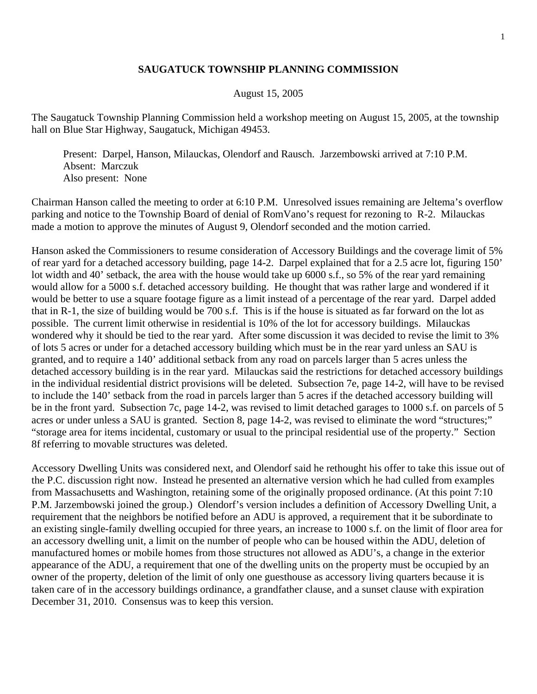## **SAUGATUCK TOWNSHIP PLANNING COMMISSION**

## August 15, 2005

The Saugatuck Township Planning Commission held a workshop meeting on August 15, 2005, at the township hall on Blue Star Highway, Saugatuck, Michigan 49453.

 Present: Darpel, Hanson, Milauckas, Olendorf and Rausch. Jarzembowski arrived at 7:10 P.M. Absent: Marczuk Also present: None

Chairman Hanson called the meeting to order at 6:10 P.M. Unresolved issues remaining are Jeltema's overflow parking and notice to the Township Board of denial of RomVano's request for rezoning to R-2. Milauckas made a motion to approve the minutes of August 9, Olendorf seconded and the motion carried.

Hanson asked the Commissioners to resume consideration of Accessory Buildings and the coverage limit of 5% of rear yard for a detached accessory building, page 14-2. Darpel explained that for a 2.5 acre lot, figuring 150' lot width and 40' setback, the area with the house would take up 6000 s.f., so 5% of the rear yard remaining would allow for a 5000 s.f. detached accessory building. He thought that was rather large and wondered if it would be better to use a square footage figure as a limit instead of a percentage of the rear yard. Darpel added that in R-1, the size of building would be 700 s.f. This is if the house is situated as far forward on the lot as possible. The current limit otherwise in residential is 10% of the lot for accessory buildings. Milauckas wondered why it should be tied to the rear yard. After some discussion it was decided to revise the limit to 3% of lots 5 acres or under for a detached accessory building which must be in the rear yard unless an SAU is granted, and to require a 140' additional setback from any road on parcels larger than 5 acres unless the detached accessory building is in the rear yard. Milauckas said the restrictions for detached accessory buildings in the individual residential district provisions will be deleted. Subsection 7e, page 14-2, will have to be revised to include the 140' setback from the road in parcels larger than 5 acres if the detached accessory building will be in the front yard. Subsection 7c, page 14-2, was revised to limit detached garages to 1000 s.f. on parcels of 5 acres or under unless a SAU is granted. Section 8, page 14-2, was revised to eliminate the word "structures;" "storage area for items incidental, customary or usual to the principal residential use of the property." Section 8f referring to movable structures was deleted.

Accessory Dwelling Units was considered next, and Olendorf said he rethought his offer to take this issue out of the P.C. discussion right now. Instead he presented an alternative version which he had culled from examples from Massachusetts and Washington, retaining some of the originally proposed ordinance. (At this point 7:10 P.M. Jarzembowski joined the group.) Olendorf's version includes a definition of Accessory Dwelling Unit, a requirement that the neighbors be notified before an ADU is approved, a requirement that it be subordinate to an existing single-family dwelling occupied for three years, an increase to 1000 s.f. on the limit of floor area for an accessory dwelling unit, a limit on the number of people who can be housed within the ADU, deletion of manufactured homes or mobile homes from those structures not allowed as ADU's, a change in the exterior appearance of the ADU, a requirement that one of the dwelling units on the property must be occupied by an owner of the property, deletion of the limit of only one guesthouse as accessory living quarters because it is taken care of in the accessory buildings ordinance, a grandfather clause, and a sunset clause with expiration December 31, 2010. Consensus was to keep this version.